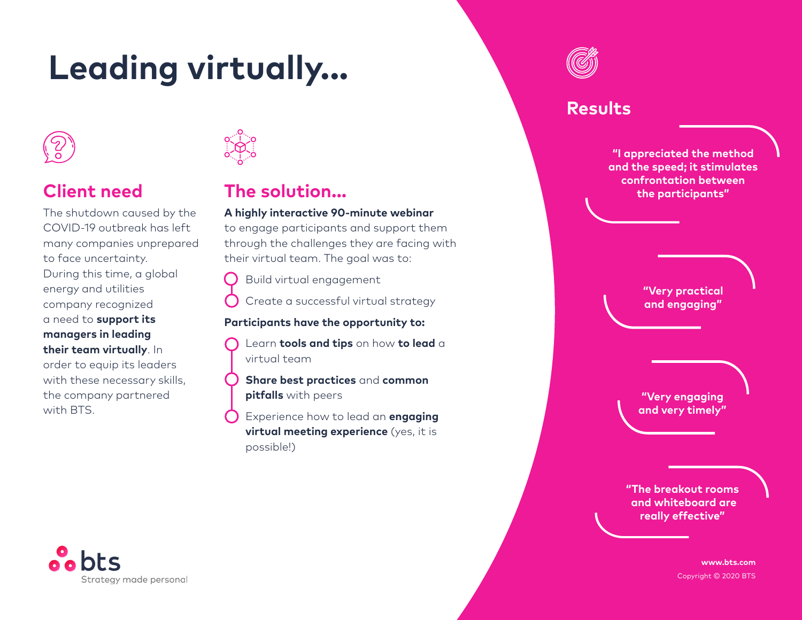# **Leading virtually...**



## **Client need**

The shutdown caused by the COVID-19 outbreak has left many companies unprepared to face uncertainty. During this time, a global energy and utilities company recognized a need to **support its managers in leading their team virtually**. In order to equip its leaders with these necessary skills, the company partnered with BTS.



## **The solution...**

#### **A highly interactive 90-minute webinar**

to engage participants and support them through the challenges they are facing with their virtual team. The goal was to:

Build virtual engagement

Create a successful virtual strategy

#### **Participants have the opportunity to:**

Learn **tools and tips** on how **to lead** a virtual team

**Share best practices** and **common pitfalls** with peers

Experience how to lead an **engaging virtual meeting experience** (yes, it is possible!)

### **Results**

**"I appreciated the method and the speed; it stimulates confrontation between the participants"**

> **"Very practical and engaging"**

**"Very engaging and very timely"**

**"The breakout rooms and whiteboard are really effective"**

Strategy made personal

**www.bts.com** Copyright © 2020 BTS